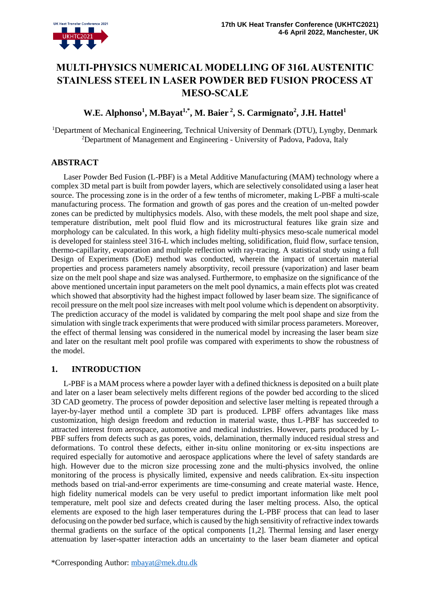# **MULTI-PHYSICS NUMERICAL MODELLING OF 316L AUSTENITIC STAINLESS STEEL IN LASER POWDER BED FUSION PROCESS AT MESO-SCALE**

## **W.E. Alphonso<sup>1</sup> , M.Bayat1,\* , M. Baier <sup>2</sup> , S. Carmignato<sup>2</sup> , J.H. Hattel<sup>1</sup>**

<sup>1</sup>Department of Mechanical Engineering, Technical University of Denmark (DTU), Lyngby, Denmark <sup>2</sup>Department of Management and Engineering - University of Padova, Padova, Italy

### **ABSTRACT**

Laser Powder Bed Fusion (L-PBF) is a Metal Additive Manufacturing (MAM) technology where a complex 3D metal part is built from powder layers, which are selectively consolidated using a laser heat source. The processing zone is in the order of a few tenths of micrometer, making L-PBF a multi-scale manufacturing process. The formation and growth of gas pores and the creation of un-melted powder zones can be predicted by multiphysics models. Also, with these models, the melt pool shape and size, temperature distribution, melt pool fluid flow and its microstructural features like grain size and morphology can be calculated. In this work, a high fidelity multi-physics meso-scale numerical model is developed for stainless steel 316-L which includes melting, solidification, fluid flow, surface tension, thermo-capillarity, evaporation and multiple reflection with ray-tracing. A statistical study using a full Design of Experiments (DoE) method was conducted, wherein the impact of uncertain material properties and process parameters namely absorptivity, recoil pressure (vaporization) and laser beam size on the melt pool shape and size was analysed. Furthermore, to emphasize on the significance of the above mentioned uncertain input parameters on the melt pool dynamics, a main effects plot was created which showed that absorptivity had the highest impact followed by laser beam size. The significance of recoil pressure on the melt pool size increases with melt pool volume which is dependent on absorptivity. The prediction accuracy of the model is validated by comparing the melt pool shape and size from the simulation with single track experiments that were produced with similar process parameters. Moreover, the effect of thermal lensing was considered in the numerical model by increasing the laser beam size and later on the resultant melt pool profile was compared with experiments to show the robustness of the model.

### **1. INTRODUCTION**

L-PBF is a MAM process where a powder layer with a defined thickness is deposited on a built plate and later on a laser beam selectively melts different regions of the powder bed according to the sliced 3D CAD geometry. The process of powder deposition and selective laser melting is repeated through a layer-by-layer method until a complete 3D part is produced. LPBF offers advantages like mass customization, high design freedom and reduction in material waste, thus L-PBF has succeeded to attracted interest from aerospace, automotive and medical industries. However, parts produced by L-PBF suffers from defects such as gas pores, voids, delamination, thermally induced residual stress and deformations. To control these defects, either in-situ online monitoring or ex-situ inspections are required especially for automotive and aerospace applications where the level of safety standards are high. However due to the micron size processing zone and the multi-physics involved, the online monitoring of the process is physically limited, expensive and needs calibration. Ex-situ inspection methods based on trial-and-error experiments are time-consuming and create material waste. Hence, high fidelity numerical models can be very useful to predict important information like melt pool temperature, melt pool size and defects created during the laser melting process. Also, the optical elements are exposed to the high laser temperatures during the L-PBF process that can lead to laser defocusing on the powder bed surface, which is caused by the high sensitivity of refractive index towards thermal gradients on the surface of the optical components [1,2]. Thermal lensing and laser energy attenuation by laser-spatter interaction adds an uncertainty to the laser beam diameter and optical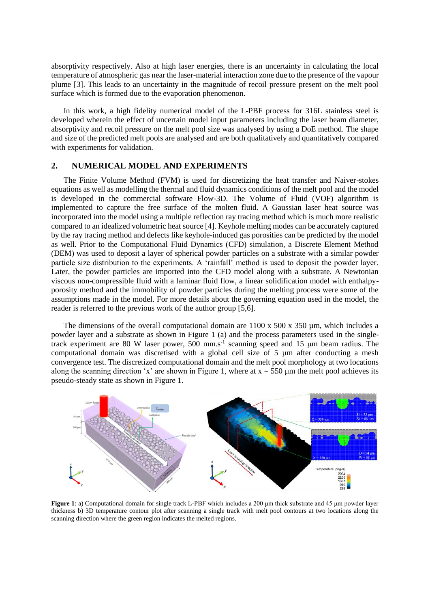absorptivity respectively. Also at high laser energies, there is an uncertainty in calculating the local temperature of atmospheric gas near the laser-material interaction zone due to the presence of the vapour plume [3]. This leads to an uncertainty in the magnitude of recoil pressure present on the melt pool surface which is formed due to the evaporation phenomenon.

In this work, a high fidelity numerical model of the L-PBF process for 316L stainless steel is developed wherein the effect of uncertain model input parameters including the laser beam diameter, absorptivity and recoil pressure on the melt pool size was analysed by using a DoE method. The shape and size of the predicted melt pools are analysed and are both qualitatively and quantitatively compared with experiments for validation.

#### **2. NUMERICAL MODEL AND EXPERIMENTS**

The Finite Volume Method (FVM) is used for discretizing the heat transfer and Naiver-stokes equations as well as modelling the thermal and fluid dynamics conditions of the melt pool and the model is developed in the commercial software Flow-3D. The Volume of Fluid (VOF) algorithm is implemented to capture the free surface of the molten fluid. A Gaussian laser heat source was incorporated into the model using a multiple reflection ray tracing method which is much more realistic compared to an idealized volumetric heat source [4]. Keyhole melting modes can be accurately captured by the ray tracing method and defects like keyhole-induced gas porosities can be predicted by the model as well. Prior to the Computational Fluid Dynamics (CFD) simulation, a Discrete Element Method (DEM) was used to deposit a layer of spherical powder particles on a substrate with a similar powder particle size distribution to the experiments. A 'rainfall' method is used to deposit the powder layer. Later, the powder particles are imported into the CFD model along with a substrate. A Newtonian viscous non-compressible fluid with a laminar fluid flow, a linear solidification model with enthalpyporosity method and the immobility of powder particles during the melting process were some of the assumptions made in the model. For more details about the governing equation used in the model, the reader is referred to the previous work of the author group [5,6].

The dimensions of the overall computational domain are  $1100 \times 500 \times 350 \mu m$ , which includes a powder layer and a substrate as shown in Figure 1 (a) and the process parameters used in the singletrack experiment are 80 W laser power, 500 mm.s<sup>-1</sup> scanning speed and 15 μm beam radius. The computational domain was discretised with a global cell size of 5 um after conducting a mesh convergence test. The discretized computational domain and the melt pool morphology at two locations along the scanning direction 'x' are shown in Figure 1, where at  $x = 550 \mu m$  the melt pool achieves its pseudo-steady state as shown in Figure 1.



**Figure 1**: a) Computational domain for single track L-PBF which includes a 200 µm thick substrate and 45 µm powder layer thickness b) 3D temperature contour plot after scanning a single track with melt pool contours at two locations along the scanning direction where the green region indicates the melted regions.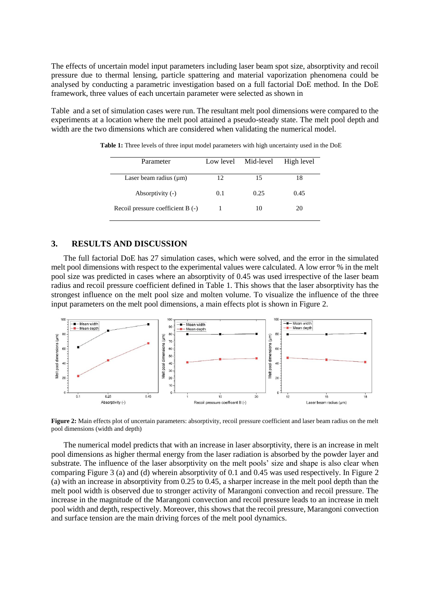The effects of uncertain model input parameters including laser beam spot size, absorptivity and recoil pressure due to thermal lensing, particle spattering and material vaporization phenomena could be analysed by conducting a parametric investigation based on a full factorial DoE method. In the DoE framework, three values of each uncertain parameter were selected as shown in

[Table](#page-2-0) and a set of simulation cases were run. The resultant melt pool dimensions were compared to the experiments at a location where the melt pool attained a pseudo-steady state. The melt pool depth and width are the two dimensions which are considered when validating the numerical model.

<span id="page-2-0"></span>

| Parameter                         | Low level | Mid-level | High level |
|-----------------------------------|-----------|-----------|------------|
| Laser beam radius $(\mu m)$       | 12        | 15        | 18         |
| Absorptivity (-)                  | 0.1       | 0.25      | 0.45       |
| Recoil pressure coefficient B (-) |           | 10        | 20         |

**Table 1:** Three levels of three input model parameters with high uncertainty used in the DoE

#### **3. RESULTS AND DISCUSSION**

The full factorial DoE has 27 simulation cases, which were solved, and the error in the simulated melt pool dimensions with respect to the experimental values were calculated. A low error % in the melt pool size was predicted in cases where an absorptivity of 0.45 was used irrespective of the laser beam radius and recoil pressure coefficient defined in Table 1. This shows that the laser absorptivity has the strongest influence on the melt pool size and molten volume. To visualize the influence of the three input parameters on the melt pool dimensions, a main effects plot is shown in Figure 2.



**Figure 2:** Main effects plot of uncertain parameters: absorptivity, recoil pressure coefficient and laser beam radius on the melt pool dimensions (width and depth)

The numerical model predicts that with an increase in laser absorptivity, there is an increase in melt pool dimensions as higher thermal energy from the laser radiation is absorbed by the powder layer and substrate. The influence of the laser absorptivity on the melt pools' size and shape is also clear when comparing Figure 3 (a) and (d) wherein absorptivity of 0.1 and 0.45 was used respectively. In Figure 2 (a) with an increase in absorptivity from 0.25 to 0.45, a sharper increase in the melt pool depth than the melt pool width is observed due to stronger activity of Marangoni convection and recoil pressure. The increase in the magnitude of the Marangoni convection and recoil pressure leads to an increase in melt pool width and depth, respectively. Moreover, this shows that the recoil pressure, Marangoni convection and surface tension are the main driving forces of the melt pool dynamics.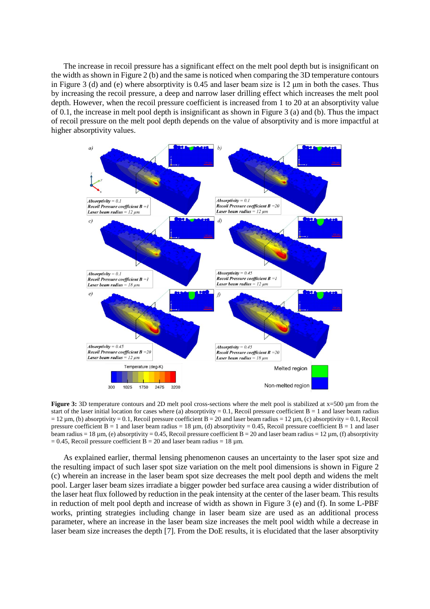The increase in recoil pressure has a significant effect on the melt pool depth but is insignificant on the width as shown in Figure 2 (b) and the same is noticed when comparing the 3D temperature contours in Figure 3 (d) and (e) where absorptivity is 0.45 and laser beam size is 12 μm in both the cases. Thus by increasing the recoil pressure, a deep and narrow laser drilling effect which increases the melt pool depth. However, when the recoil pressure coefficient is increased from 1 to 20 at an absorptivity value of 0.1, the increase in melt pool depth is insignificant as shown in Figure 3 (a) and (b). Thus the impact of recoil pressure on the melt pool depth depends on the value of absorptivity and is more impactful at higher absorptivity values.



**Figure 3:** 3D temperature contours and 2D melt pool cross-sections where the melt pool is stabilized at  $x=500 \mu m$  from the start of the laser initial location for cases where (a) absorptivity = 0.1, Recoil pressure coefficient  $B = 1$  and laser beam radius  $= 12 \,\mu$ m, (b) absorptivity  $= 0.1$ , Recoil pressure coefficient B  $= 20$  and laser beam radius  $= 12 \,\mu$ m, (c) absorptivity  $= 0.1$ , Recoil pressure coefficient  $B = 1$  and laser beam radius = 18 um, (d) absorptivity = 0.45. Recoil pressure coefficient  $B = 1$  and laser beam radius = 18  $\mu$ m, (e) absorptivity = 0.45, Recoil pressure coefficient B = 20 and laser beam radius = 12  $\mu$ m, (f) absorptivity  $= 0.45$ , Recoil pressure coefficient B = 20 and laser beam radius = 18 µm.

As explained earlier, thermal lensing phenomenon causes an uncertainty to the laser spot size and the resulting impact of such laser spot size variation on the melt pool dimensions is shown in Figure 2 (c) wherein an increase in the laser beam spot size decreases the melt pool depth and widens the melt pool. Larger laser beam sizes irradiate a bigger powder bed surface area causing a wider distribution of the laser heat flux followed by reduction in the peak intensity at the center of the laser beam. This results in reduction of melt pool depth and increase of width as shown in Figure 3 (e) and (f). In some L-PBF works, printing strategies including change in laser beam size are used as an additional process parameter, where an increase in the laser beam size increases the melt pool width while a decrease in laser beam size increases the depth [7]. From the DoE results, it is elucidated that the laser absorptivity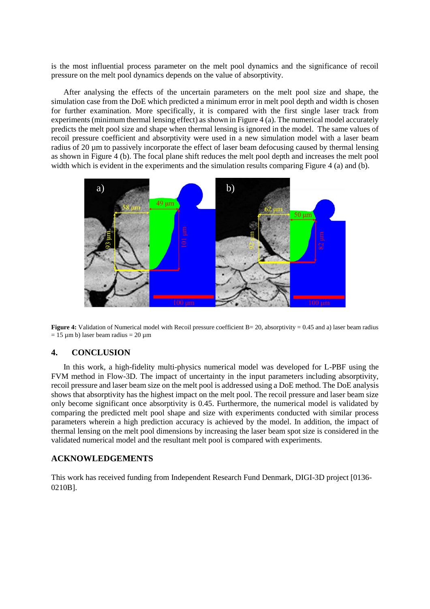is the most influential process parameter on the melt pool dynamics and the significance of recoil pressure on the melt pool dynamics depends on the value of absorptivity.

After analysing the effects of the uncertain parameters on the melt pool size and shape, the simulation case from the DoE which predicted a minimum error in melt pool depth and width is chosen for further examination. More specifically, it is compared with the first single laser track from experiments (minimum thermal lensing effect) as shown in Figure 4 (a). The numerical model accurately predicts the melt pool size and shape when thermal lensing is ignored in the model. The same values of recoil pressure coefficient and absorptivity were used in a new simulation model with a laser beam radius of 20 um to passively incorporate the effect of laser beam defocusing caused by thermal lensing as shown in Figure 4 (b). The focal plane shift reduces the melt pool depth and increases the melt pool width which is evident in the experiments and the simulation results comparing Figure 4 (a) and (b).





#### **4. CONCLUSION**

In this work, a high-fidelity multi-physics numerical model was developed for L-PBF using the FVM method in Flow-3D. The impact of uncertainty in the input parameters including absorptivity, recoil pressure and laser beam size on the melt pool is addressed using a DoE method. The DoE analysis shows that absorptivity has the highest impact on the melt pool. The recoil pressure and laser beam size only become significant once absorptivity is 0.45. Furthermore, the numerical model is validated by comparing the predicted melt pool shape and size with experiments conducted with similar process parameters wherein a high prediction accuracy is achieved by the model. In addition, the impact of thermal lensing on the melt pool dimensions by increasing the laser beam spot size is considered in the validated numerical model and the resultant melt pool is compared with experiments.

#### **ACKNOWLEDGEMENTS**

This work has received funding from Independent Research Fund Denmark, DIGI-3D project [0136- 0210B].